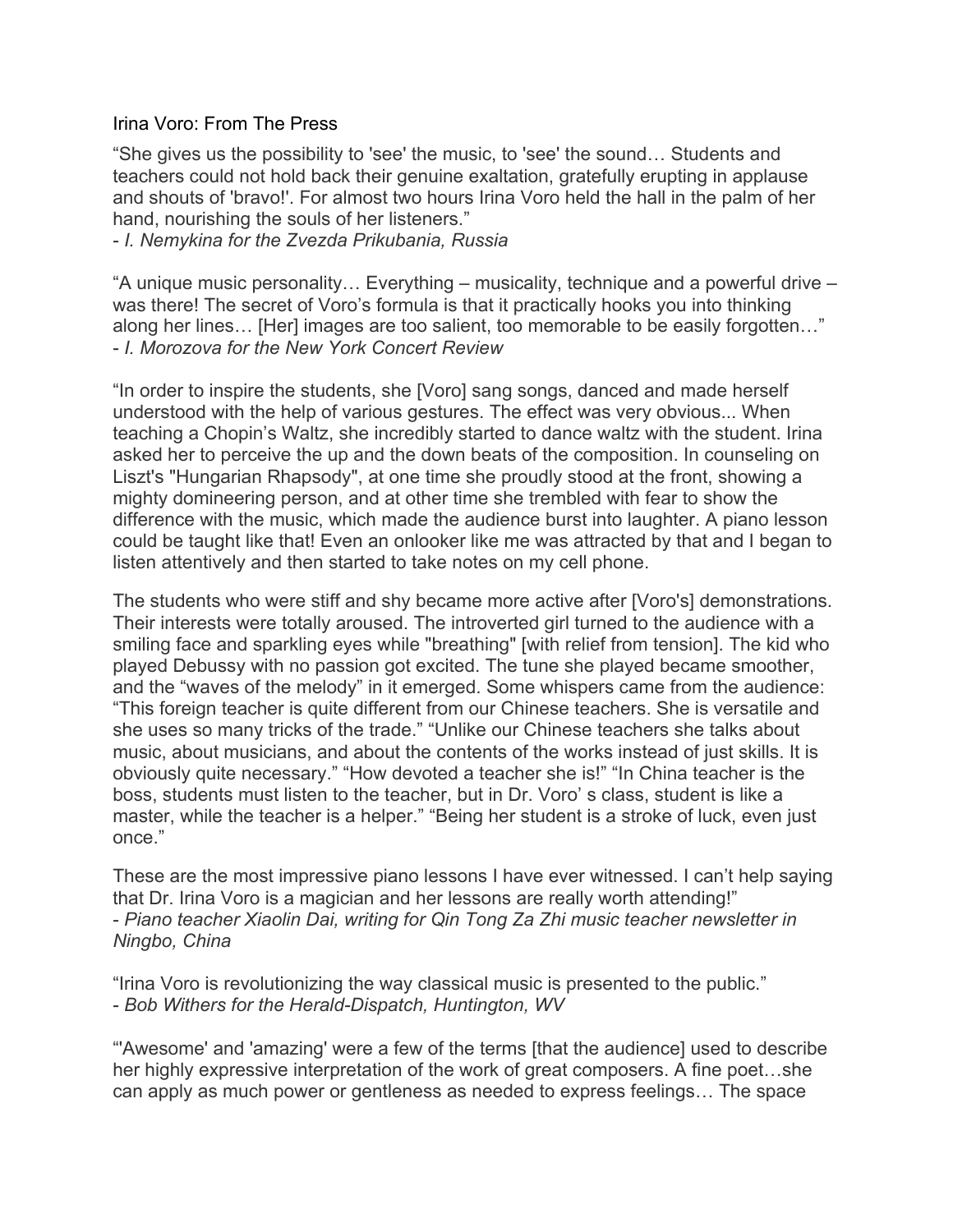## Irina Voro: From The Press

"She gives us the possibility to 'see' the music, to 'see' the sound… Students and teachers could not hold back their genuine exaltation, gratefully erupting in applause and shouts of 'bravo!'. For almost two hours Irina Voro held the hall in the palm of her hand, nourishing the souls of her listeners."

- *I. Nemykina for the Zvezda Prikubania, Russia*

"A unique music personality… Everything – musicality, technique and a powerful drive – was there! The secret of Voro's formula is that it practically hooks you into thinking along her lines… [Her] images are too salient, too memorable to be easily forgotten…" - *I. Morozova for the New York Concert Review*

"In order to inspire the students, she [Voro] sang songs, danced and made herself understood with the help of various gestures. The effect was very obvious... When teaching a Chopin's Waltz, she incredibly started to dance waltz with the student. Irina asked her to perceive the up and the down beats of the composition. In counseling on Liszt's "Hungarian Rhapsody", at one time she proudly stood at the front, showing a mighty domineering person, and at other time she trembled with fear to show the difference with the music, which made the audience burst into laughter. A piano lesson could be taught like that! Even an onlooker like me was attracted by that and I began to listen attentively and then started to take notes on my cell phone.

The students who were stiff and shy became more active after [Voro's] demonstrations. Their interests were totally aroused. The introverted girl turned to the audience with a smiling face and sparkling eyes while "breathing" [with relief from tension]. The kid who played Debussy with no passion got excited. The tune she played became smoother, and the "waves of the melody" in it emerged. Some whispers came from the audience: "This foreign teacher is quite different from our Chinese teachers. She is versatile and she uses so many tricks of the trade." "Unlike our Chinese teachers she talks about music, about musicians, and about the contents of the works instead of just skills. It is obviously quite necessary." "How devoted a teacher she is!" "In China teacher is the boss, students must listen to the teacher, but in Dr. Voro' s class, student is like a master, while the teacher is a helper." "Being her student is a stroke of luck, even just once."

These are the most impressive piano lessons I have ever witnessed. I can't help saying that Dr. Irina Voro is a magician and her lessons are really worth attending!" - *Piano teacher Xiaolin Dai, writing for Qin Tong Za Zhi music teacher newsletter in Ningbo, China*

"Irina Voro is revolutionizing the way classical music is presented to the public." - *Bob Withers for the Herald-Dispatch, Huntington, WV*

"'Awesome' and 'amazing' were a few of the terms [that the audience] used to describe her highly expressive interpretation of the work of great composers. A fine poet…she can apply as much power or gentleness as needed to express feelings… The space